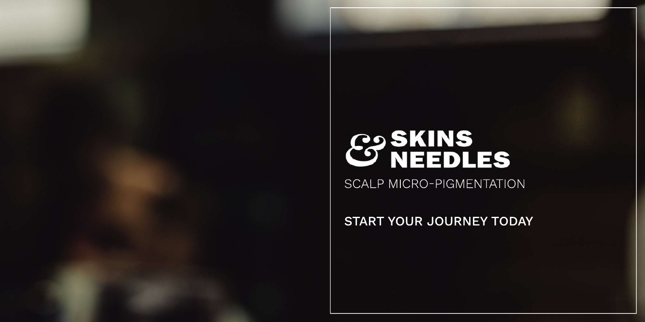# & SKINS<br>C NEEDLES

SCALP MICRO-PIGMENTATION

START YOUR JOURNEY TODAY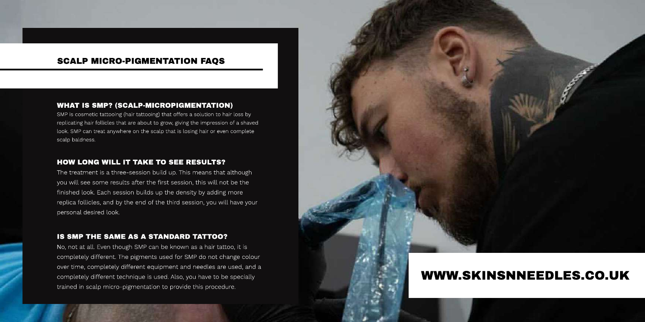## **WHAT IS SMP? (SCALP-MICROPIGMENTATION)**

SMP is cosmetic tattooing (hair tattooing) that offers a solution to hair loss by replicating hair follicles that are about to grow, giving the impression of a shaved look. SMP can treat anywhere on the scalp that is losing hair or even complete scalp baldness.

## **HOW LONG WILL IT TAKE TO SEE RESULTS?**

The treatment is a three-session build up. This means that although you will see some results after the first session, this will not be the finished look. Each session builds up the density by adding more replica follicles, and by the end of the third session, you will have your personal desired look.

#### IS SMP THE SAME AS A STANDARD TATTOO?

No, not at all. Even though SMP can be known as a hair tattoo, it is completely different. The pigments used for SMP do not change colour over time, completely different equipment and needles are used, and a completely different technique is used. Also, you have to be specially trained in scalp micro-pigmentation to provide this procedure.



# WWW.SKINSNNEEDLES.CO.UK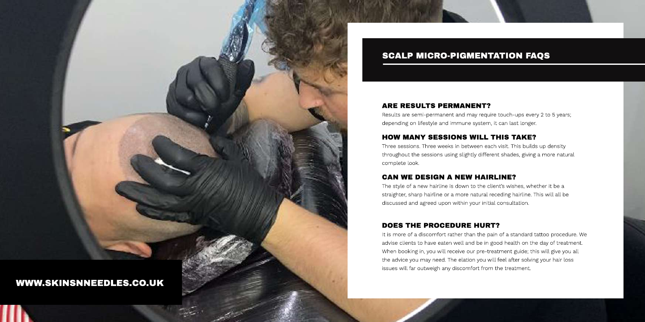

# **ARE RESULTS PERMANENT?**

Results are semi-permanent and may require touch-ups every 2 to 5 years; depending on lifestyle and immune system, it can last longer.

# HOW MANY SESSIONS WILL THIS TAKE?

Three sessions. Three weeks in between each visit. This builds up density throughout the sessions using slightly different shades, giving a more natural complete look.

# CAN WE DESIGN A NEW HAIRLINE?

The style of a new hairline is down to the client's wishes, whether it be a straighter, sharp hairline or a more natural receding hairline. This will all be discussed and agreed upon within your initial consultation.

# DOES THE PROCEDURE HURT?

It is more of a discomfort rather than the pain of a standard tattoo procedure. We advise clients to have eaten well and be in good health on the day of treatment. When booking in, you will receive our pre-treatment guide; this will give you all the advice you may need. The elation you will feel after solving your hair loss issues will far outweigh any discomfort from the treatment.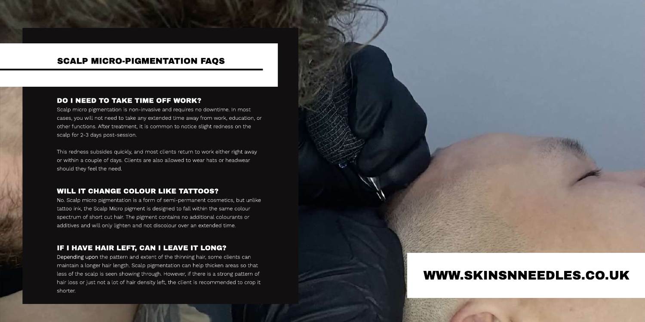## DO I NEED TO TAKE TIME OFF WORK?

Scalp micro pigmentation is non-invasive and requires no downtime. In most cases, you will not need to take any extended time away from work, education, or other functions. After treatment, it is common to notice slight redness on the scalp for 2-3 days post-session.

This redness subsides quickly, and most clients return to work either right away or within a couple of days. Clients are also allowed to wear hats or headwear should they feel the need.

# WILL IT CHANGE COLOUR LIKE TATTOOS?

No. Scalp micro pigmentation is a form of semi-permanent cosmetics, but unlike tattoo ink, the Scalp Micro pigment is designed to fall within the same colour spectrum of short cut hair. The pigment contains no additional colourants or additives and will only lighten and not discolour over an extended time.

# IF I HAVE HAIR LEFT, CAN I LEAVE IT LONG?

Depending upon the pattern and extent of the thinning hair, some clients can maintain a longer hair length. Scalp pigmentation can help thicken areas so that less of the scalp is seen showing through. However, if there is a strong pattern of hair loss or just not a lot of hair density left, the client is recommended to crop it shorter.

# WWW.SKINSNNEEDLES.CO.UK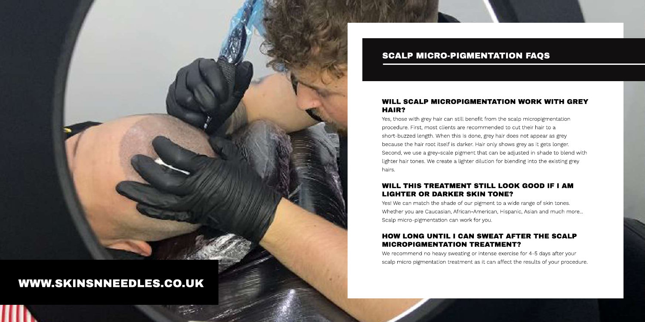

# WWW.SKINSNNEEDLES.CO.UK

# **SCALP MICRO-PIGMENTATION FAQS**

# **WILL SCALP MICROPIGMENTATION WORK WITH GREY** HAIR?

Yes, those with grey hair can still benefit from the scalp micropigmentation procedure. First, most clients are recommended to cut their hair to a short-buzzed length. When this is done, grey hair does not appear as grey because the hair root itself is darker. Hair only shows grey as it gets longer. Second, we use a grey-scale pigment that can be adjusted in shade to blend with lighter hair tones. We create a lighter dilution for blending into the existing grey hairs.

# WILL THIS TREATMENT STILL LOOK GOOD IF I AM **LIGHTER OR DARKER SKIN TONE?**

Yes! We can match the shade of our pigment to a wide range of skin tones. Whether you are Caucasian, African-American, Hispanic, Asian and much more... Scalp micro-pigmentation can work for you.

# **HOW LONG UNTIL I CAN SWEAT AFTER THE SCALP MICROPIGMENTATION TREATMENT?**

We recommend no heavy sweating or intense exercise for 4-5 days after your scalp micro pigmentation treatment as it can affect the results of your procedure.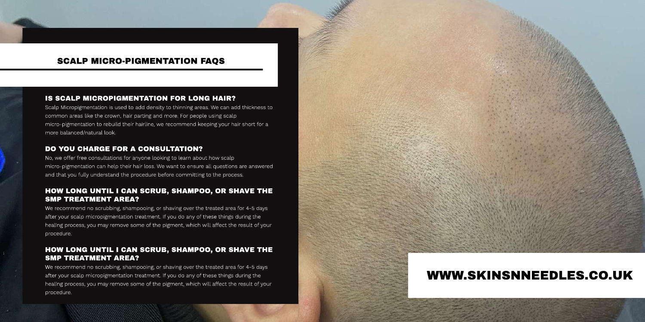## IS SCALP MICROPIGMENTATION FOR LONG HAIR?

Scalp Micropigmentation is used to add density to thinning areas. We can add thickness to common areas like the crown, hair parting and more. For people using scalp micro-pigmentation to rebuild their hairline, we recommend keeping your hair short for a more balanced/natural look.

#### DO YOU CHARGE FOR A CONSULTATION?

No, we offer free consultations for anyone looking to learn about how scalp micro-pigmentation can help their hair loss. We want to ensure all questions are answered and that you fully understand the procedure before committing to the process.

### HOW LONG UNTIL I CAN SCRUB, SHAMPOO, OR SHAVE THE **SMP TREATMENT AREA?**

We recommend no scrubbing, shampooing, or shaving over the treated area for 4-5 days after your scalp micropigmentation treatment. If you do any of these things during the healing process, you may remove some of the pigment, which will affect the result of your procedure.

# HOW LONG UNTIL I CAN SCRUB, SHAMPOO, OR SHAVE THE **SMP TREATMENT AREA?**

We recommend no scrubbing, shampooing, or shaving over the treated area for 4-5 days after your scalp micropigmentation treatment. If you do any of these things during the healing process, you may remove some of the pigment, which will affect the result of your procedure.

# WWW.SKINSNNEEDLES.CO.UK